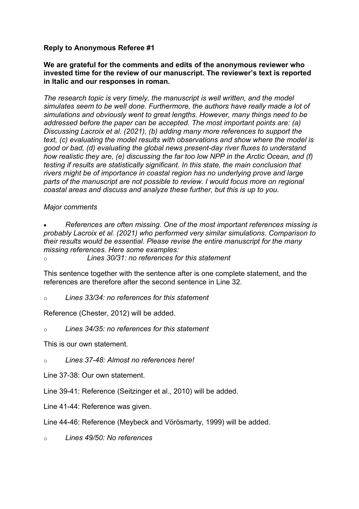## **Reply to Anonymous Referee #1**

### **We are grateful for the comments and edits of the anonymous reviewer who invested time for the review of our manuscript. The reviewer's text is reported in Italic and our responses in roman.**

*The research topic is very timely, the manuscript is well written, and the model simulates seem to be well done. Furthermore, the authors have really made a lot of simulations and obviously went to great lengths. However, many things need to be addressed before the paper can be accepted. The most important points are: (a) Discussing Lacroix et al. (2021), (b) adding many more references to support the text, (c) evaluating the model results with observations and show where the model is good or bad, (d) evaluating the global news present-day river fluxes to understand how realistic they are, (e) discussing the far too low NPP in the Arctic Ocean, and (f) testing if results are statistically significant. In this state, the main conclusion that rivers might be of importance in coastal region has no underlying prove and large parts of the manuscript are not possible to review. I would focus more on regional coastal areas and discuss and analyze these further, but this is up to you.*

### *Major comments*

• *References are often missing. One of the most important references missing is probably Lacroix et al. (2021) who performed very similar simulations. Comparison to their results would be essential. Please revise the entire manuscript for the many missing references. Here some examples:*

o *Lines 30/31: no references for this statement*

This sentence together with the sentence after is one complete statement, and the references are therefore after the second sentence in Line 32.

#### o *Lines 33/34: no references for this statement*

Reference (Chester, 2012) will be added.

o *Lines 34/35: no references for this statement*

This is our own statement.

o *Lines 37-48: Almost no references here!*

Line 37-38: Our own statement.

Line 39-41: Reference (Seitzinger et al., 2010) will be added.

Line 41-44: Reference was given.

Line 44-46: Reference (Meybeck and Vörösmarty, 1999) will be added.

o *Lines 49/50: No references*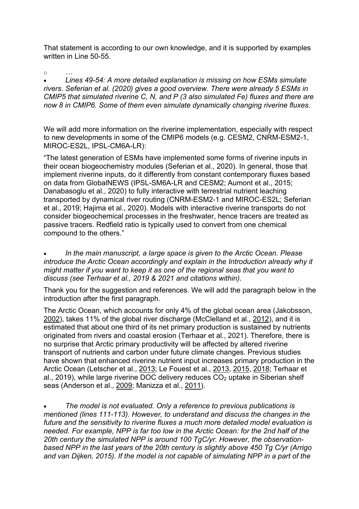That statement is according to our own knowledge, and it is supported by examples written in Line 50-55.

o *…*

• *Lines 49-54: A more detailed explanation is missing on how ESMs simulate rivers. Seferian et al. (2020) gives a good overview. There were already 5 ESMs in CMIP5 that simulated riverine C, N, and P (3 also simulated Fe) fluxes and there are now 8 in CMIP6. Some of them even simulate dynamically changing riverine fluxes.*

We will add more information on the riverine implementation, especially with respect to new developments in some of the CMIP6 models (e.g. CESM2, CNRM-ESM2-1, MIROC-ES2L, IPSL-CM6A-LR):

"The latest generation of ESMs have implemented some forms of riverine inputs in their ocean biogeochemistry modules (Seferian et al., 2020). In general, those that implement riverine inputs, do it differently from constant contemporary fluxes based on data from GlobalNEWS (IPSL-SM6A-LR and CESM2; Aumont et al., 2015; Danabasoglu et al., 2020) to fully interactive with terrestrial nutrient leaching transported by dynamical river routing (CNRM-ESM2-1 and MIROC-ES2L; Seferian et al., 2019; Hajima et al., 2020). Models with interactive riverine transports do not consider biogeochemical processes in the freshwater, hence tracers are treated as passive tracers. Redfield ratio is typically used to convert from one chemical compound to the others."

• *In the main manuscript, a large space is given to the Arctic Ocean. Please introduce the Arctic Ocean accordingly and explain in the Introduction already why it might matter if you want to keep it as one of the regional seas that you want to discuss (see Terhaar et al., 2019 & 2021 and citations within).*

Thank you for the suggestion and references. We will add the paragraph below in the introduction after the first paragraph.

The Arctic Ocean, which accounts for only 4% of the global ocean area (Jakobsson, 2002), takes 11% of the global river discharge (McClelland et al., 2012), and it is estimated that about one third of its net primary production is sustained by nutrients originated from rivers and coastal erosion (Terhaar et al., 2021). Therefore, there is no surprise that Arctic primary productivity will be affected by altered riverine transport of nutrients and carbon under future climate changes. Previous studies have shown that enhanced riverine nutrient input increases primary production in the Arctic Ocean (Letscher et al., 2013; Le Fouest et al., 2013, 2015, 2018; Terhaar et al., 2019), while large riverine DOC delivery reduces  $CO<sub>2</sub>$  uptake in Siberian shelf seas (Anderson et al., 2009; Manizza et al., 2011).

• *The model is not evaluated. Only a reference to previous publications is mentioned (lines 111-113). However, to understand and discuss the changes in the future and the sensitivity to riverine fluxes a much more detailed model evaluation is needed. For example, NPP is far too low in the Arctic Ocean: for the 2nd half of the 20th century the simulated NPP is around 100 TgC/yr. However, the observationbased NPP in the last years of the 20th century is slightly above 450 Tg C/yr (Arrigo and van Dijken, 2015). If the model is not capable of simulating NPP in a part of the*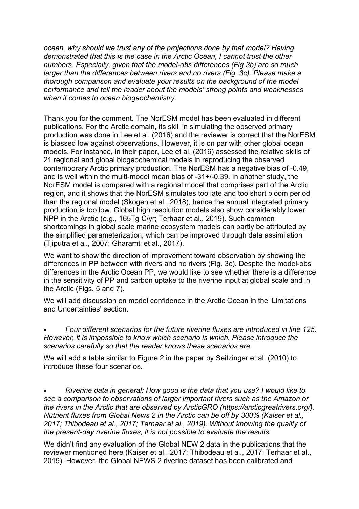*ocean, why should we trust any of the projections done by that model? Having demonstrated that this is the case in the Arctic Ocean, I cannot trust the other numbers. Especially, given that the model-obs differences (Fig 3b) are so much larger than the differences between rivers and no rivers (Fig. 3c). Please make a thorough comparison and evaluate your results on the background of the model performance and tell the reader about the models' strong points and weaknesses when it comes to ocean biogeochemistry.*

Thank you for the comment. The NorESM model has been evaluated in different publications. For the Arctic domain, its skill in simulating the observed primary production was done in Lee et al. (2016) and the reviewer is correct that the NorESM is biassed low against observations. However, it is on par with other global ocean models. For instance, in their paper, Lee et al. (2016) assessed the relative skills of 21 regional and global biogeochemical models in reproducing the observed contemporary Arctic primary production. The NorESM has a negative bias of -0.49, and is well within the multi-model mean bias of -31+/-0.39. In another study, the NorESM model is compared with a regional model that comprises part of the Arctic region, and it shows that the NorESM simulates too late and too short bloom period than the regional model (Skogen et al., 2018), hence the annual integrated primary production is too low. Global high resolution models also show considerably lower NPP in the Arctic (e.g., 165Tg C/yr; Terhaar et al., 2019). Such common shortcomings in global scale marine ecosystem models can partly be attributed by the simplified parameterization, which can be improved through data assimilation (Tjiputra et al., 2007; Gharamti et al., 2017).

We want to show the direction of improvement toward observation by showing the differences in PP between with rivers and no rivers (Fig. 3c). Despite the model-obs differences in the Arctic Ocean PP, we would like to see whether there is a difference in the sensitivity of PP and carbon uptake to the riverine input at global scale and in the Arctic (Figs. 5 and 7).

We will add discussion on model confidence in the Arctic Ocean in the 'Limitations and Uncertainties' section.

• *Four different scenarios for the future riverine fluxes are introduced in line 125. However, it is impossible to know which scenario is which. Please introduce the scenarios carefully so that the reader knows these scenarios are.*

We will add a table similar to Figure 2 in the paper by Seitzinger et al. (2010) to introduce these four scenarios.

• *Riverine data in general: How good is the data that you use? I would like to see a comparison to observations of larger important rivers such as the Amazon or the rivers in the Arctic that are observed by ArcticGRO (https://arcticgreatrivers.org/). Nutrient fluxes from Global News 2 in the Arctic can be off by 300% (Kaiser et al., 2017; Thibodeau et al., 2017; Terhaar et al., 2019). Without knowing the quality of the present-day riverine fluxes, it is not possible to evaluate the results.*

We didn't find any evaluation of the Global NEW 2 data in the publications that the reviewer mentioned here (Kaiser et al., 2017; Thibodeau et al., 2017; Terhaar et al., 2019). However, the Global NEWS 2 riverine dataset has been calibrated and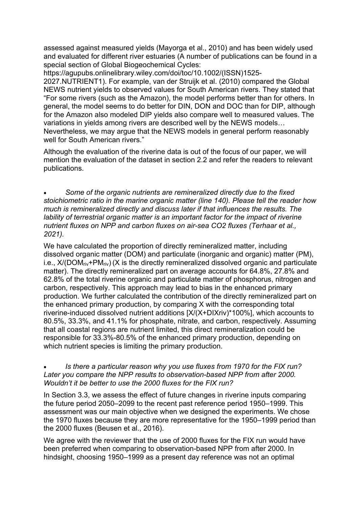assessed against measured yields (Mayorga et al., 2010) and has been widely used and evaluated for different river estuaries (A number of publications can be found in a special section of Global Biogeochemical Cycles:

https://agupubs.onlinelibrary.wiley.com/doi/toc/10.1002/(ISSN)1525- 2027.NUTRIENT1). For example, van der Struijk et al. (2010) compared the Global NEWS nutrient yields to observed values for South American rivers. They stated that "For some rivers (such as the Amazon), the model performs better than for others. In general, the model seems to do better for DIN, DON and DOC than for DIP, although for the Amazon also modeled DIP yields also compare well to measured values. The variations in yields among rivers are described well by the NEWS models… Nevertheless, we may argue that the NEWS models in general perform reasonably well for South American rivers."

Although the evaluation of the riverine data is out of the focus of our paper, we will mention the evaluation of the dataset in section 2.2 and refer the readers to relevant publications.

• *Some of the organic nutrients are remineralized directly due to the fixed stoichiometric ratio in the marine organic matter (line 140). Please tell the reader how much is remineralized directly and discuss later if that influences the results. The lability of terrestrial organic matter is an important factor for the impact of riverine nutrient fluxes on NPP and carbon fluxes on air-sea CO2 fluxes (Terhaar et al., 2021).*

We have calculated the proportion of directly remineralized matter, including dissolved organic matter (DOM) and particulate (inorganic and organic) matter (PM), i.e.,  $X/(DOM_{riv}+PM_{riv})$  (X is the directly remineralized dissolved organic and particulate matter). The directly remineralized part on average accounts for 64.8%, 27.8% and 62.8% of the total riverine organic and particulate matter of phosphorus, nitrogen and carbon, respectively. This approach may lead to bias in the enhanced primary production. We further calculated the contribution of the directly remineralized part on the enhanced primary production, by comparing X with the corresponding total riverine-induced dissolved nutrient additions [X/(X+DIXriv)\*100%], which accounts to 80.5%, 33.3%, and 41.1% for phosphate, nitrate, and carbon, respectively. Assuming that all coastal regions are nutrient limited, this direct remineralization could be responsible for 33.3%-80.5% of the enhanced primary production, depending on which nutrient species is limiting the primary production.

### • *Is there a particular reason why you use fluxes from 1970 for the FIX run?*  Later you compare the NPP results to observation-based NPP from after 2000. *Wouldn't it be better to use the 2000 fluxes for the FIX run?*

In Section 3.3, we assess the effect of future changes in riverine inputs comparing the future period 2050–2099 to the recent past reference period 1950–1999. This assessment was our main objective when we designed the experiments. We chose the 1970 fluxes because they are more representative for the 1950–1999 period than the 2000 fluxes (Beusen et al., 2016).

We agree with the reviewer that the use of 2000 fluxes for the FIX run would have been preferred when comparing to observation-based NPP from after 2000. In hindsight, choosing 1950–1999 as a present day reference was not an optimal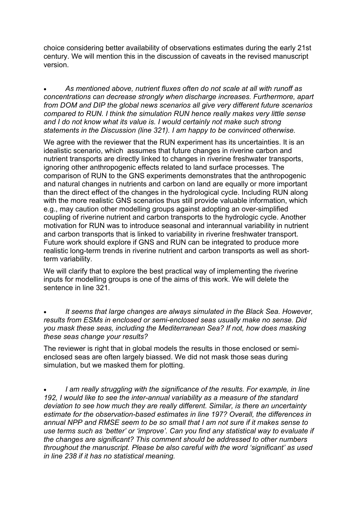choice considering better availability of observations estimates during the early 21st century. We will mention this in the discussion of caveats in the revised manuscript version.

• *As mentioned above, nutrient fluxes often do not scale at all with runoff as concentrations can decrease strongly when discharge increases. Furthermore, apart from DOM and DIP the global news scenarios all give very different future scenarios compared to RUN. I think the simulation RUN hence really makes very little sense and I do not know what its value is. I would certainly not make such strong statements in the Discussion (line 321). I am happy to be convinced otherwise.*

We agree with the reviewer that the RUN experiment has its uncertainties. It is an idealistic scenario, which assumes that future changes in riverine carbon and nutrient transports are directly linked to changes in riverine freshwater transports, ignoring other anthropogenic effects related to land surface processes. The comparison of RUN to the GNS experiments demonstrates that the anthropogenic and natural changes in nutrients and carbon on land are equally or more important than the direct effect of the changes in the hydrological cycle. Including RUN along with the more realistic GNS scenarios thus still provide valuable information, which e.g., may caution other modelling groups against adopting an over-simplified coupling of riverine nutrient and carbon transports to the hydrologic cycle. Another motivation for RUN was to introduce seasonal and interannual variability in nutrient and carbon transports that is linked to variability in riverine freshwater transport. Future work should explore if GNS and RUN can be integrated to produce more realistic long-term trends in riverine nutrient and carbon transports as well as shortterm variability.

We will clarify that to explore the best practical way of implementing the riverine inputs for modelling groups is one of the aims of this work. We will delete the sentence in line 321.

• *It seems that large changes are always simulated in the Black Sea. However, results from ESMs in enclosed or semi-enclosed seas usually make no sense. Did you mask these seas, including the Mediterranean Sea? If not, how does masking these seas change your results?*

The reviewer is right that in global models the results in those enclosed or semienclosed seas are often largely biassed. We did not mask those seas during simulation, but we masked them for plotting.

• *I am really struggling with the significance of the results. For example, in line 192, I would like to see the inter-annual variability as a measure of the standard deviation to see how much they are really different. Similar, is there an uncertainty estimate for the observation-based estimates in line 197? Overall, the differences in annual NPP and RMSE seem to be so small that I am not sure if it makes sense to use terms such as 'better' or 'improve'. Can you find any statistical way to evaluate if the changes are significant? This comment should be addressed to other numbers throughout the manuscript. Please be also careful with the word 'significant' as used in line 238 if it has no statistical meaning.*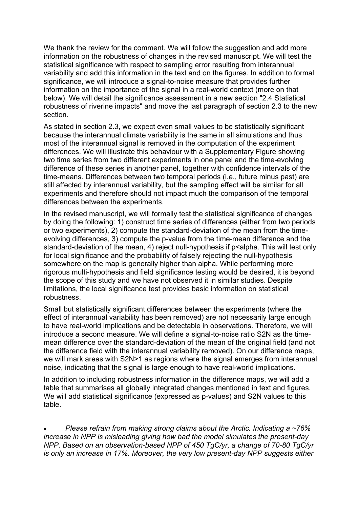We thank the review for the comment. We will follow the suggestion and add more information on the robustness of changes in the revised manuscript. We will test the statistical significance with respect to sampling error resulting from interannual variability and add this information in the text and on the figures. In addition to formal significance, we will introduce a signal-to-noise measure that provides further information on the importance of the signal in a real-world context (more on that below). We will detail the significance assessment in a new section "2.4 Statistical robustness of riverine impacts" and move the last paragraph of section 2.3 to the new section.

As stated in section 2.3, we expect even small values to be statistically significant because the interannual climate variability is the same in all simulations and thus most of the interannual signal is removed in the computation of the experiment differences. We will illustrate this behaviour with a Supplementary Figure showing two time series from two different experiments in one panel and the time-evolving difference of these series in another panel, together with confidence intervals of the time-means. Differences between two temporal periods (i.e., future minus past) are still affected by interannual variability, but the sampling effect will be similar for all experiments and therefore should not impact much the comparison of the temporal differences between the experiments.

In the revised manuscript, we will formally test the statistical significance of changes by doing the following: 1) construct time series of differences (either from two periods or two experiments), 2) compute the standard-deviation of the mean from the timeevolving differences, 3) compute the p-value from the time-mean difference and the standard-deviation of the mean, 4) reject null-hypothesis if p<alpha. This will test only for local significance and the probability of falsely rejecting the null-hypothesis somewhere on the map is generally higher than alpha. While performing more rigorous multi-hypothesis and field significance testing would be desired, it is beyond the scope of this study and we have not observed it in similar studies. Despite limitations, the local significance test provides basic information on statistical robustness.

Small but statistically significant differences between the experiments (where the effect of interannual variability has been removed) are not necessarily large enough to have real-world implications and be detectable in observations. Therefore, we will introduce a second measure. We will define a signal-to-noise ratio S2N as the timemean difference over the standard-deviation of the mean of the original field (and not the difference field with the interannual variability removed). On our difference maps, we will mark areas with S2N>1 as regions where the signal emerges from interannual noise, indicating that the signal is large enough to have real-world implications.

In addition to including robustness information in the difference maps, we will add a table that summarises all globally integrated changes mentioned in text and figures. We will add statistical significance (expressed as p-values) and S2N values to this table.

• *Please refrain from making strong claims about the Arctic. Indicating a ~76% increase in NPP is misleading giving how bad the model simulates the present-day NPP. Based on an observation-based NPP of 450 TgC/yr, a change of 70-80 TgC/yr is only an increase in 17%. Moreover, the very low present-day NPP suggests either*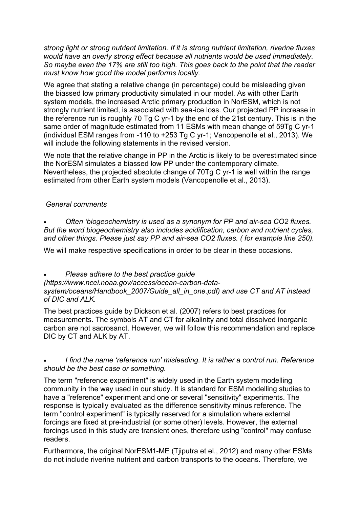*strong light or strong nutrient limitation. If it is strong nutrient limitation, riverine fluxes would have an overly strong effect because all nutrients would be used immediately. So maybe even the 17% are still too high. This goes back to the point that the reader must know how good the model performs locally.*

We agree that stating a relative change (in percentage) could be misleading given the biassed low primary productivity simulated in our model. As with other Earth system models, the increased Arctic primary production in NorESM, which is not strongly nutrient limited, is associated with sea-ice loss. Our projected PP increase in the reference run is roughly 70 Tg C yr-1 by the end of the 21st century. This is in the same order of magnitude estimated from 11 ESMs with mean change of 59Tg C yr-1 (individual ESM ranges from -110 to +253 Tg C yr-1; Vancopenolle et al., 2013). We will include the following statements in the revised version.

We note that the relative change in PP in the Arctic is likely to be overestimated since the NorESM simulates a biassed low PP under the contemporary climate. Nevertheless, the projected absolute change of 70Tg C yr-1 is well within the range estimated from other Earth system models (Vancopenolle et al., 2013).

## *General comments*

• *Often 'biogeochemistry is used as a synonym for PP and air-sea CO2 fluxes. But the word biogeochemistry also includes acidification, carbon and nutrient cycles, and other things. Please just say PP and air-sea CO2 fluxes. ( for example line 250).*

We will make respective specifications in order to be clear in these occasions.

• *Please adhere to the best practice guide* 

*(https://www.ncei.noaa.gov/access/ocean-carbon-datasystem/oceans/Handbook\_2007/Guide\_all\_in\_one.pdf) and use CT and AT instead of DIC and ALK.*

The best practices guide by Dickson et al. (2007) refers to best practices for measurements. The symbols AT and CT for alkalinity and total dissolved inorganic carbon are not sacrosanct. However, we will follow this recommendation and replace DIC by CT and ALK by AT.

### • *I find the name 'reference run' misleading. It is rather a control run. Reference should be the best case or something.*

The term "reference experiment" is widely used in the Earth system modelling community in the way used in our study. It is standard for ESM modelling studies to have a "reference" experiment and one or several "sensitivity" experiments. The response is typically evaluated as the difference sensitivity minus reference. The term "control experiment" is typically reserved for a simulation where external forcings are fixed at pre-industrial (or some other) levels. However, the external forcings used in this study are transient ones, therefore using "control" may confuse readers.

Furthermore, the original NorESM1-ME (Tjiputra et el., 2012) and many other ESMs do not include riverine nutrient and carbon transports to the oceans. Therefore, we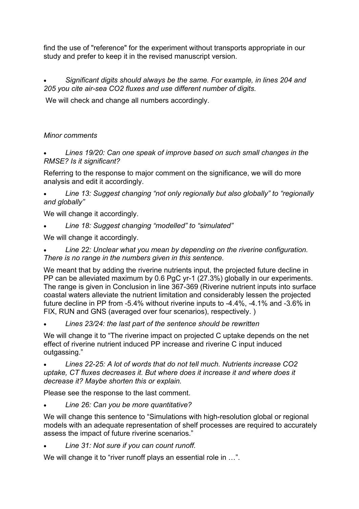find the use of "reference" for the experiment without transports appropriate in our study and prefer to keep it in the revised manuscript version.

• *Significant digits should always be the same. For example, in lines 204 and 205 you cite air-sea CO2 fluxes and use different number of digits.*

We will check and change all numbers accordingly.

# *Minor comments*

• *Lines 19/20: Can one speak of improve based on such small changes in the RMSE? Is it significant?*

Referring to the response to major comment on the significance, we will do more analysis and edit it accordingly.

• *Line 13: Suggest changing "not only regionally but also globally" to "regionally and globally"*

We will change it accordingly.

• *Line 18: Suggest changing "modelled" to "simulated"*

We will change it accordingly.

• *Line 22: Unclear what you mean by depending on the riverine configuration. There is no range in the numbers given in this sentence.*

We meant that by adding the riverine nutrients input, the projected future decline in PP can be alleviated maximum by 0.6 PgC yr-1 (27.3%) globally in our experiments. The range is given in Conclusion in line 367-369 (Riverine nutrient inputs into surface coastal waters alleviate the nutrient limitation and considerably lessen the projected future decline in PP from -5.4% without riverine inputs to -4.4%, -4.1% and -3.6% in FIX, RUN and GNS (averaged over four scenarios), respectively. )

• *Lines 23/24: the last part of the sentence should be rewritten*

We will change it to "The riverine impact on projected C uptake depends on the net effect of riverine nutrient induced PP increase and riverine C input induced outgassing."

• *Lines 22-25: A lot of words that do not tell much. Nutrients increase CO2 uptake, CT fluxes decreases it. But where does it increase it and where does it decrease it? Maybe shorten this or explain.*

Please see the response to the last comment.

• *Line 26: Can you be more quantitative?*

We will change this sentence to "Simulations with high-resolution global or regional models with an adequate representation of shelf processes are required to accurately assess the impact of future riverine scenarios."

• *Line 31: Not sure if you can count runoff.*

We will change it to "river runoff plays an essential role in ...".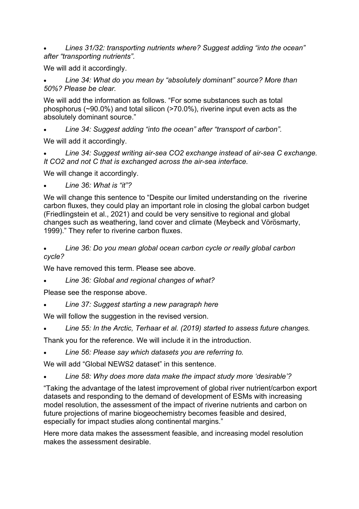• *Lines 31/32: transporting nutrients where? Suggest adding "into the ocean" after "transporting nutrients".*

We will add it accordingly.

• *Line 34: What do you mean by "absolutely dominant" source? More than 50%? Please be clear.*

We will add the information as follows. "For some substances such as total phosphorus (~90.0%) and total silicon (>70.0%), riverine input even acts as the absolutely dominant source."

• *Line 34: Suggest adding "into the ocean" after "transport of carbon".*

We will add it accordingly.

• *Line 34: Suggest writing air-sea CO2 exchange instead of air-sea C exchange. It CO2 and not C that is exchanged across the air-sea interface.*

We will change it accordingly.

• *Line 36: What is "it"?*

We will change this sentence to "Despite our limited understanding on the riverine carbon fluxes, they could play an important role in closing the global carbon budget (Friedlingstein et al., 2021) and could be very sensitive to regional and global changes such as weathering, land cover and climate (Meybeck and Vörösmarty, 1999)." They refer to riverine carbon fluxes.

## • *Line 36: Do you mean global ocean carbon cycle or really global carbon cycle?*

We have removed this term. Please see above.

• *Line 36: Global and regional changes of what?*

Please see the response above.

• *Line 37: Suggest starting a new paragraph here*

We will follow the suggestion in the revised version.

• *Line 55: In the Arctic, Terhaar et al. (2019) started to assess future changes.*

Thank you for the reference. We will include it in the introduction.

• *Line 56: Please say which datasets you are referring to.*

We will add "Global NEWS2 dataset" in this sentence.

• *Line 58: Why does more data make the impact study more 'desirable'?*

"Taking the advantage of the latest improvement of global river nutrient/carbon export datasets and responding to the demand of development of ESMs with increasing model resolution, the assessment of the impact of riverine nutrients and carbon on future projections of marine biogeochemistry becomes feasible and desired, especially for impact studies along continental margins."

Here more data makes the assessment feasible, and increasing model resolution makes the assessment desirable.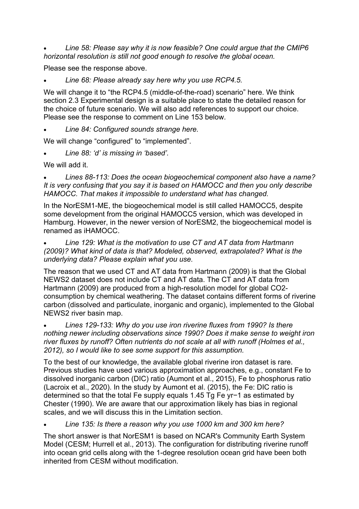• *Line 58: Please say why it is now feasible? One could argue that the CMIP6 horizontal resolution is still not good enough to resolve the global ocean.*

Please see the response above.

• *Line 68: Please already say here why you use RCP4.5.*

We will change it to "the RCP4.5 (middle-of-the-road) scenario" here. We think section 2.3 Experimental design is a suitable place to state the detailed reason for the choice of future scenario. We will also add references to support our choice. Please see the response to comment on Line 153 below.

• *Line 84: Configured sounds strange here.*

We will change "configured" to "implemented".

• *Line 88: 'd' is missing in 'based'.*

We will add it.

• *Lines 88-113: Does the ocean biogeochemical component also have a name? It is very confusing that you say it is based on HAMOCC and then you only describe HAMOCC. That makes it impossible to understand what has changed.*

In the NorESM1-ME, the biogeochemical model is still called HAMOCC5, despite some development from the original HAMOCC5 version, which was developed in Hamburg. However, in the newer version of NorESM2, the biogeochemical model is renamed as iHAMOCC.

• *Line 129: What is the motivation to use CT and AT data from Hartmann (2009)? What kind of data is that? Modeled, observed, extrapolated? What is the underlying data? Please explain what you use.*

The reason that we used CT and AT data from Hartmann (2009) is that the Global NEWS2 dataset does not include CT and AT data. The CT and AT data from Hartmann (2009) are produced from a high-resolution model for global CO2consumption by chemical weathering. The dataset contains different forms of riverine carbon (dissolved and particulate, inorganic and organic), implemented to the Global NEWS2 river basin map.

• *Lines 129-133: Why do you use iron riverine fluxes from 1990? Is there nothing newer including observations since 1990? Does it make sense to weight iron river fluxes by runoff? Often nutrients do not scale at all with runoff (Holmes et al., 2012), so I would like to see some support for this assumption.*

To the best of our knowledge, the available global riverine iron dataset is rare. Previous studies have used various approximation approaches, e.g., constant Fe to dissolved inorganic carbon (DIC) ratio (Aumont et al., 2015), Fe to phosphorus ratio (Lacroix et al., 2020). In the study by Aumont et al. (2015), the Fe: DIC ratio is determined so that the total Fe supply equals 1.45 Tg Fe yr−1 as estimated by Chester (1990). We are aware that our approximation likely has bias in regional scales, and we will discuss this in the Limitation section.

• *Line 135: Is there a reason why you use 1000 km and 300 km here?*

The short answer is that NorESM1 is based on NCAR's Community Earth System Model (CESM; Hurrell et al., 2013). The configuration for distributing riverine runoff into ocean grid cells along with the 1-degree resolution ocean grid have been both inherited from CESM without modification.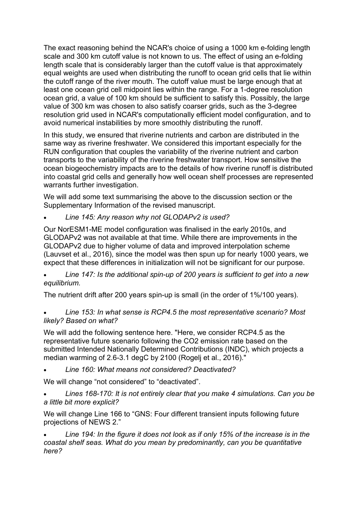The exact reasoning behind the NCAR's choice of using a 1000 km e-folding length scale and 300 km cutoff value is not known to us. The effect of using an e-folding length scale that is considerably larger than the cutoff value is that approximately equal weights are used when distributing the runoff to ocean grid cells that lie within the cutoff range of the river mouth. The cutoff value must be large enough that at least one ocean grid cell midpoint lies within the range. For a 1-degree resolution ocean grid, a value of 100 km should be sufficient to satisfy this. Possibly, the large value of 300 km was chosen to also satisfy coarser grids, such as the 3-degree resolution grid used in NCAR's computationally efficient model configuration, and to avoid numerical instabilities by more smoothly distributing the runoff.

In this study, we ensured that riverine nutrients and carbon are distributed in the same way as riverine freshwater. We considered this important especially for the RUN configuration that couples the variability of the riverine nutrient and carbon transports to the variability of the riverine freshwater transport. How sensitive the ocean biogeochemistry impacts are to the details of how riverine runoff is distributed into coastal grid cells and generally how well ocean shelf processes are represented warrants further investigation.

We will add some text summarising the above to the discussion section or the Supplementary Information of the revised manuscript.

• *Line 145: Any reason why not GLODAPv2 is used?*

Our NorESM1-ME model configuration was finalised in the early 2010s, and GLODAPv2 was not available at that time. While there are improvements in the GLODAPv2 due to higher volume of data and improved interpolation scheme (Lauvset et al., 2016), since the model was then spun up for nearly 1000 years, we expect that these differences in initialization will not be significant for our purpose.

• *Line 147: Is the additional spin-up of 200 years is sufficient to get into a new equilibrium.*

The nutrient drift after 200 years spin-up is small (in the order of 1%/100 years).

## • *Line 153: In what sense is RCP4.5 the most representative scenario? Most likely? Based on what?*

We will add the following sentence here. "Here, we consider RCP4.5 as the representative future scenario following the CO2 emission rate based on the submitted Intended Nationally Determined Contributions (INDC), which projects a median warming of 2.6-3.1 degC by 2100 (Rogelj et al., 2016)."

• *Line 160: What means not considered? Deactivated?*

We will change "not considered" to "deactivated".

• *Lines 168-170: It is not entirely clear that you make 4 simulations. Can you be a little bit more explicit?*

We will change Line 166 to "GNS: Four different transient inputs following future projections of NEWS 2."

• *Line 194: In the figure it does not look as if only 15% of the increase is in the coastal shelf seas. What do you mean by predominantly, can you be quantitative here?*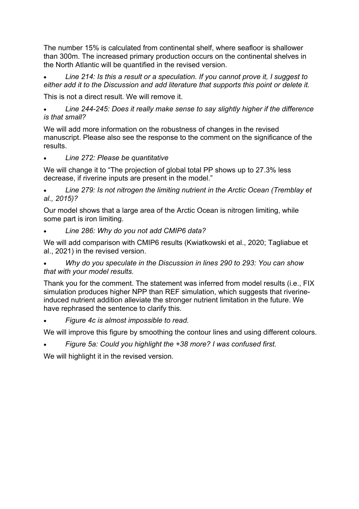The number 15% is calculated from continental shelf, where seafloor is shallower than 300m. The increased primary production occurs on the continental shelves in the North Atlantic will be quantified in the revised version.

• *Line 214: Is this a result or a speculation. If you cannot prove it, I suggest to either add it to the Discussion and add literature that supports this point or delete it.*

This is not a direct result. We will remove it.

• *Line 244-245: Does it really make sense to say slightly higher if the difference is that small?*

We will add more information on the robustness of changes in the revised manuscript. Please also see the response to the comment on the significance of the results.

## • *Line 272: Please be quantitative*

We will change it to "The projection of global total PP shows up to 27.3% less decrease, if riverine inputs are present in the model."

• *Line 279: Is not nitrogen the limiting nutrient in the Arctic Ocean (Tremblay et al., 2015)?*

Our model shows that a large area of the Arctic Ocean is nitrogen limiting, while some part is iron limiting.

## • *Line 286: Why do you not add CMIP6 data?*

We will add comparison with CMIP6 results (Kwiatkowski et al., 2020; Tagliabue et al., 2021) in the revised version.

• *Why do you speculate in the Discussion in lines 290 to 293: You can show that with your model results.*

Thank you for the comment. The statement was inferred from model results (i.e., FIX simulation produces higher NPP than REF simulation, which suggests that riverineinduced nutrient addition alleviate the stronger nutrient limitation in the future. We have rephrased the sentence to clarify this.

• *Figure 4c is almost impossible to read.*

We will improve this figure by smoothing the contour lines and using different colours.

• *Figure 5a: Could you highlight the +38 more? I was confused first.*

We will highlight it in the revised version.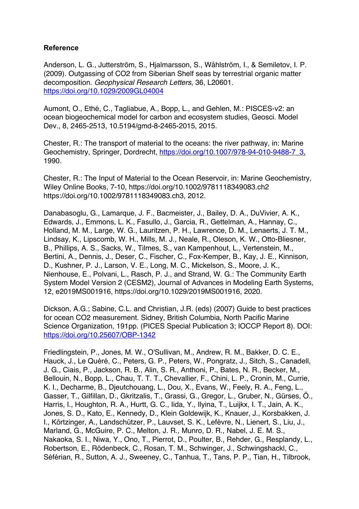## **Reference**

Anderson, L. G., Jutterström, S., Hjalmarsson, S., Wåhlström, I., & Semiletov, I. P. (2009). Outgassing of CO2 from Siberian Shelf seas by terrestrial organic matter decomposition. *Geophysical Research Letters*, 36, L20601. https://doi.org/10.1029/2009GL04004

Aumont, O., Ethé, C., Tagliabue, A., Bopp, L., and Gehlen, M.: PISCES-v2: an ocean biogeochemical model for carbon and ecosystem studies, Geosci. Model Dev., 8, 2465-2513, 10.5194/gmd-8-2465-2015, 2015.

Chester, R.: The transport of material to the oceans: the river pathway, in: Marine Geochemistry, Springer, Dordrecht, https://doi.org/10.1007/978-94-010-9488-7\_3, 1990.

Chester, R.: The Input of Material to the Ocean Reservoir, in: Marine Geochemistry, Wiley Online Books, 7-10, https://doi.org/10.1002/9781118349083.ch2 https://doi.org/10.1002/9781118349083.ch3, 2012.

Danabasoglu, G., Lamarque, J. F., Bacmeister, J., Bailey, D. A., DuVivier, A. K., Edwards, J., Emmons, L. K., Fasullo, J., Garcia, R., Gettelman, A., Hannay, C., Holland, M. M., Large, W. G., Lauritzen, P. H., Lawrence, D. M., Lenaerts, J. T. M., Lindsay, K., Lipscomb, W. H., Mills, M. J., Neale, R., Oleson, K. W., Otto-Bliesner, B., Phillips, A. S., Sacks, W., Tilmes, S., van Kampenhout, L., Vertenstein, M., Bertini, A., Dennis, J., Deser, C., Fischer, C., Fox-Kemper, B., Kay, J. E., Kinnison, D., Kushner, P. J., Larson, V. E., Long, M. C., Mickelson, S., Moore, J. K., Nienhouse, E., Polvani, L., Rasch, P. J., and Strand, W. G.: The Community Earth System Model Version 2 (CESM2), Journal of Advances in Modeling Earth Systems, 12, e2019MS001916, https://doi.org/10.1029/2019MS001916, 2020.

Dickson, A.G.; Sabine, C.L. and Christian, J.R. (eds) (2007) Guide to best practices for ocean CO2 measurement. Sidney, British Columbia, North Pacific Marine Science Organization, 191pp. (PICES Special Publication 3; IOCCP Report 8). DOI: https://doi.org/10.25607/OBP-1342

Friedlingstein, P., Jones, M. W., O'Sullivan, M., Andrew, R. M., Bakker, D. C. E., Hauck, J., Le Quéré, C., Peters, G. P., Peters, W., Pongratz, J., Sitch, S., Canadell, J. G., Ciais, P., Jackson, R. B., Alin, S. R., Anthoni, P., Bates, N. R., Becker, M., Bellouin, N., Bopp, L., Chau, T. T. T., Chevallier, F., Chini, L. P., Cronin, M., Currie, K. I., Decharme, B., Djeutchouang, L., Dou, X., Evans, W., Feely, R. A., Feng, L., Gasser, T., Gilfillan, D., Gkritzalis, T., Grassi, G., Gregor, L., Gruber, N., Gürses, Ö., Harris, I., Houghton, R. A., Hurtt, G. C., Iida, Y., Ilyina, T., Luijkx, I. T., Jain, A. K., Jones, S. D., Kato, E., Kennedy, D., Klein Goldewijk, K., Knauer, J., Korsbakken, J. I., Körtzinger, A., Landschützer, P., Lauvset, S. K., Lefèvre, N., Lienert, S., Liu, J., Marland, G., McGuire, P. C., Melton, J. R., Munro, D. R., Nabel, J. E. M. S., Nakaoka, S. I., Niwa, Y., Ono, T., Pierrot, D., Poulter, B., Rehder, G., Resplandy, L., Robertson, E., Rödenbeck, C., Rosan, T. M., Schwinger, J., Schwingshackl, C., Séférian, R., Sutton, A. J., Sweeney, C., Tanhua, T., Tans, P. P., Tian, H., Tilbrook,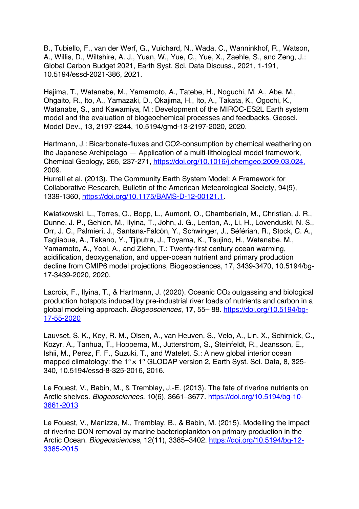B., Tubiello, F., van der Werf, G., Vuichard, N., Wada, C., Wanninkhof, R., Watson, A., Willis, D., Wiltshire, A. J., Yuan, W., Yue, C., Yue, X., Zaehle, S., and Zeng, J.: Global Carbon Budget 2021, Earth Syst. Sci. Data Discuss., 2021, 1-191, 10.5194/essd-2021-386, 2021.

Hajima, T., Watanabe, M., Yamamoto, A., Tatebe, H., Noguchi, M. A., Abe, M., Ohgaito, R., Ito, A., Yamazaki, D., Okajima, H., Ito, A., Takata, K., Ogochi, K., Watanabe, S., and Kawamiya, M.: Development of the MIROC-ES2L Earth system model and the evaluation of biogeochemical processes and feedbacks, Geosci. Model Dev., 13, 2197-2244, 10.5194/gmd-13-2197-2020, 2020.

Hartmann, J.: Bicarbonate-fluxes and CO2-consumption by chemical weathering on the Japanese Archipelago — Application of a multi-lithological model framework, Chemical Geology, 265, 237-271, https://doi.org/10.1016/j.chemgeo.2009.03.024, 2009.

Hurrell et al. (2013). The Community Earth System Model: A Framework for Collaborative Research, Bulletin of the American Meteorological Society, 94(9), 1339-1360, https://doi.org/10.1175/BAMS-D-12-00121.1.

Kwiatkowski, L., Torres, O., Bopp, L., Aumont, O., Chamberlain, M., Christian, J. R., Dunne, J. P., Gehlen, M., Ilyina, T., John, J. G., Lenton, A., Li, H., Lovenduski, N. S., Orr, J. C., Palmieri, J., Santana-Falcón, Y., Schwinger, J., Séférian, R., Stock, C. A., Tagliabue, A., Takano, Y., Tjiputra, J., Toyama, K., Tsujino, H., Watanabe, M., Yamamoto, A., Yool, A., and Ziehn, T.: Twenty-first century ocean warming, acidification, deoxygenation, and upper-ocean nutrient and primary production decline from CMIP6 model projections, Biogeosciences, 17, 3439-3470, 10.5194/bg-17-3439-2020, 2020.

Lacroix, F., Ilyina, T., & Hartmann, J. (2020). Oceanic CO<sub>2</sub> outgassing and biological production hotspots induced by pre-industrial river loads of nutrients and carbon in a global modeling approach. *Biogeosciences*, **17**, 55– 88. https://doi.org/10.5194/bg-17-55-2020

Lauvset, S. K., Key, R. M., Olsen, A., van Heuven, S., Velo, A., Lin, X., Schirnick, C., Kozyr, A., Tanhua, T., Hoppema, M., Jutterström, S., Steinfeldt, R., Jeansson, E., Ishii, M., Perez, F. F., Suzuki, T., and Watelet, S.: A new global interior ocean mapped climatology: the 1° x 1° GLODAP version 2, Earth Syst. Sci. Data, 8, 325-340, 10.5194/essd-8-325-2016, 2016.

Le Fouest, V., Babin, M., & Tremblay, J.-E. (2013). The fate of riverine nutrients on Arctic shelves. *Biogeosciences*, 10(6), 3661–3677. https://doi.org/10.5194/bg-10- 3661-2013

Le Fouest, V., Manizza, M., Tremblay, B., & Babin, M. (2015). Modelling the impact of riverine DON removal by marine bacterioplankton on primary production in the Arctic Ocean. *Biogeosciences*, 12(11), 3385–3402. https://doi.org/10.5194/bg-12- 3385-2015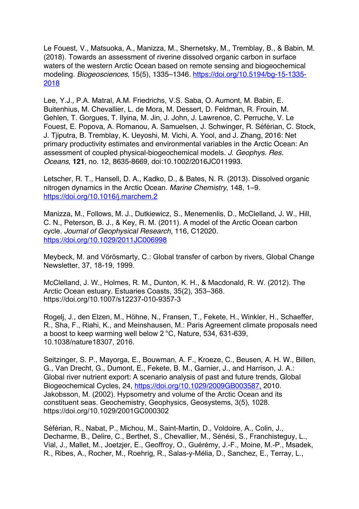Le Fouest, V., Matsuoka, A., Manizza, M., Shernetsky, M., Tremblay, B., & Babin, M. (2018). Towards an assessment of riverine dissolved organic carbon in surface waters of the western Arctic Ocean based on remote sensing and biogeochemical modeling. *Biogeosciences*, 15(5), 1335–1346. https://doi.org/10.5194/bg-15-1335- 2018

Lee, Y.J., P.A. Matral, A.M. Friedrichs, V.S. Saba, O. Aumont, M. Babin, E. Buitenhius, M. Chevallier, L. de Mora, M. Dessert, D. Feldman, R. Frouin, M. Gehlen, T. Gorgues, T. Ilyina, M. Jin, J. John, J. Lawrence, C. Perruche, V. Le Fouest, E. Popova, A. Romanou, A. Samuelsen, J. Schwinger, R. Séférian, C. Stock, J. Tjiputra, B. Tremblay, K. Ueyoshi, M. Vichi, A. Yool, and J. Zhang, 2016: Net primary productivity estimates and environmental variables in the Arctic Ocean: An assessment of coupled physical-biogeochemical models. *J. Geophys. Res. Oceans*, **121**, no. 12, 8635-8669, doi:10.1002/2016JC011993.

Letscher, R. T., Hansell, D. A., Kadko, D., & Bates, N. R. (2013). Dissolved organic nitrogen dynamics in the Arctic Ocean. *Marine Chemistry*, 148, 1–9. https://doi.org/10.1016/j.marchem.2

Manizza, M., Follows, M. J., Dutkiewicz, S., Menemenlis, D., McClelland, J. W., Hill, C. N., Peterson, B. J., & Key, R. M. (2011). A model of the Arctic Ocean carbon cycle. *Journal of Geophysical Research*, 116, C12020. https://doi.org/10.1029/2011JC006998

Meybeck, M. and Vörösmarty, C.: Global transfer of carbon by rivers, Global Change Newsletter, 37, 18-19, 1999.

McClelland, J. W., Holmes, R. M., Dunton, K. H., & Macdonald, R. W. (2012). The Arctic Ocean estuary. Estuaries Coasts, 35(2), 353–368. https://doi.org/10.1007/s12237-010-9357-3

Rogelj, J., den Elzen, M., Höhne, N., Fransen, T., Fekete, H., Winkler, H., Schaeffer, R., Sha, F., Riahi, K., and Meinshausen, M.: Paris Agreement climate proposals need a boost to keep warming well below 2 °C, Nature, 534, 631-639, 10.1038/nature18307, 2016.

Seitzinger, S. P., Mayorga, E., Bouwman, A. F., Kroeze, C., Beusen, A. H. W., Billen, G., Van Drecht, G., Dumont, E., Fekete, B. M., Garnier, J., and Harrison, J. A.: Global river nutrient export: A scenario analysis of past and future trends, Global Biogeochemical Cycles, 24, https://doi.org/10.1029/2009GB003587, 2010. Jakobsson, M. (2002). Hypsometry and volume of the Arctic Ocean and its constituent seas. Geochemistry, Geophysics, Geosystems, 3(5), 1028. https://doi.org/10.1029/2001GC000302

Séférian, R., Nabat, P., Michou, M., Saint-Martin, D., Voldoire, A., Colin, J., Decharme, B., Delire, C., Berthet, S., Chevallier, M., Sénési, S., Franchisteguy, L., Vial, J., Mallet, M., Joetzjer, E., Geoffroy, O., Guérémy, J.-F., Moine, M.-P., Msadek, R., Ribes, A., Rocher, M., Roehrig, R., Salas-y-Mélia, D., Sanchez, E., Terray, L.,